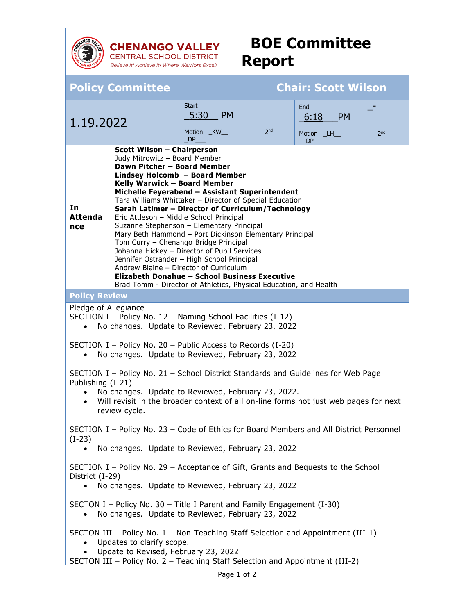

**CHENANGO VALLEY**<br>CENTRAL SCHOOL DISTRICT Believe it! Achieve it! Where Warriors Excel!

## **BOE Committee Report**

| <b>Policy Committee</b>                                                                                                                                                                                                                                                                                                                                                                                                                                                                                                                                                                                                                                                                                                                                                                                                       |  |                                                                 |  | <b>Chair: Scott Wilson</b>                                       |
|-------------------------------------------------------------------------------------------------------------------------------------------------------------------------------------------------------------------------------------------------------------------------------------------------------------------------------------------------------------------------------------------------------------------------------------------------------------------------------------------------------------------------------------------------------------------------------------------------------------------------------------------------------------------------------------------------------------------------------------------------------------------------------------------------------------------------------|--|-----------------------------------------------------------------|--|------------------------------------------------------------------|
| 1.19.2022                                                                                                                                                                                                                                                                                                                                                                                                                                                                                                                                                                                                                                                                                                                                                                                                                     |  | <b>Start</b><br>5:30 PM<br>2 <sub>nd</sub><br>Motion _KW_<br>DP |  | End<br><b>PM</b><br>6:18<br>2 <sub>nd</sub><br>Motion _LH_<br>DP |
| <b>Scott Wilson - Chairperson</b><br>Judy Mitrowitz - Board Member<br>Dawn Pitcher - Board Member<br>Lindsey Holcomb - Board Member<br>Kelly Warwick - Board Member<br>Michelle Feyerabend - Assistant Superintendent<br>Tara Williams Whittaker - Director of Special Education<br>In<br>Sarah Latimer - Director of Curriculum/Technology<br><b>Attenda</b><br>Eric Attleson - Middle School Principal<br>Suzanne Stephenson - Elementary Principal<br>nce<br>Mary Beth Hammond - Port Dickinson Elementary Principal<br>Tom Curry - Chenango Bridge Principal<br>Johanna Hickey - Director of Pupil Services<br>Jennifer Ostrander - High School Principal<br>Andrew Blaine - Director of Curriculum<br>Elizabeth Donahue - School Business Executive<br>Brad Tomm - Director of Athletics, Physical Education, and Health |  |                                                                 |  |                                                                  |
| <b>Policy Review</b>                                                                                                                                                                                                                                                                                                                                                                                                                                                                                                                                                                                                                                                                                                                                                                                                          |  |                                                                 |  |                                                                  |
| Pledge of Allegiance<br>SECTION I - Policy No. 12 - Naming School Facilities (I-12)<br>No changes. Update to Reviewed, February 23, 2022<br>$\bullet$<br>SECTION I - Policy No. 20 - Public Access to Records (I-20)                                                                                                                                                                                                                                                                                                                                                                                                                                                                                                                                                                                                          |  |                                                                 |  |                                                                  |
| No changes. Update to Reviewed, February 23, 2022<br>$\bullet$<br>SECTION I - Policy No. 21 - School District Standards and Guidelines for Web Page<br>Publishing (I-21)<br>No changes. Update to Reviewed, February 23, 2022.<br>$\bullet$<br>Will revisit in the broader context of all on-line forms not just web pages for next<br>$\bullet$<br>review cycle.                                                                                                                                                                                                                                                                                                                                                                                                                                                             |  |                                                                 |  |                                                                  |
| SECTION I - Policy No. 23 - Code of Ethics for Board Members and All District Personnel<br>$(I-23)$<br>No changes. Update to Reviewed, February 23, 2022                                                                                                                                                                                                                                                                                                                                                                                                                                                                                                                                                                                                                                                                      |  |                                                                 |  |                                                                  |
| SECTION I - Policy No. 29 - Acceptance of Gift, Grants and Bequests to the School<br>District (I-29)<br>No changes. Update to Reviewed, February 23, 2022                                                                                                                                                                                                                                                                                                                                                                                                                                                                                                                                                                                                                                                                     |  |                                                                 |  |                                                                  |
| SECTON I – Policy No. 30 – Title I Parent and Family Engagement $(I-30)$<br>No changes. Update to Reviewed, February 23, 2022                                                                                                                                                                                                                                                                                                                                                                                                                                                                                                                                                                                                                                                                                                 |  |                                                                 |  |                                                                  |
| SECTON III - Policy No. 1 - Non-Teaching Staff Selection and Appointment (III-1)<br>Updates to clarify scope.<br>Update to Revised, February 23, 2022<br>SECTON III - Policy No. 2 - Teaching Staff Selection and Appointment (III-2)<br>Page 1 of 2                                                                                                                                                                                                                                                                                                                                                                                                                                                                                                                                                                          |  |                                                                 |  |                                                                  |